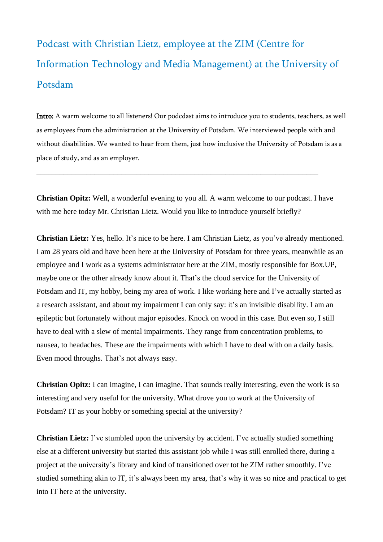## Podcast with Christian Lietz, employee at the ZIM (Centre for Information Technology and Media Management) at the University of Potsdam

Intro: A warm welcome to all listeners! Our podcdast aims to introduce you to students, teachers, as well as employees from the administration at the University of Potsdam. We interviewed people with and without disabilities. We wanted to hear from them, just how inclusive the University of Potsdam is as a place of study, and as an employer.

**Christian Opitz:** Well, a wonderful evening to you all. A warm welcome to our podcast. I have with me here today Mr. Christian Lietz. Would you like to introduce yourself briefly?

\_\_\_\_\_\_\_\_\_\_\_\_\_\_\_\_\_\_\_\_\_\_\_\_\_\_\_\_\_\_\_\_\_\_\_\_\_\_\_\_\_\_\_\_\_\_\_\_\_\_\_\_\_\_\_\_\_\_\_\_\_\_\_\_\_\_\_\_\_\_\_\_\_

**Christian Lietz:** Yes, hello. It's nice to be here. I am Christian Lietz, as you've already mentioned. I am 28 years old and have been here at the University of Potsdam for three years, meanwhile as an employee and I work as a systems administrator here at the ZIM, mostly responsible for Box.UP, maybe one or the other already know about it. That's the cloud service for the University of Potsdam and IT, my hobby, being my area of work. I like working here and I've actually started as a research assistant, and about my impairment I can only say: it's an invisible disability. I am an epileptic but fortunately without major episodes. Knock on wood in this case. But even so, I still have to deal with a slew of mental impairments. They range from concentration problems, to nausea, to headaches. These are the impairments with which I have to deal with on a daily basis. Even mood throughs. That's not always easy.

**Christian Opitz:** I can imagine, I can imagine. That sounds really interesting, even the work is so interesting and very useful for the university. What drove you to work at the University of Potsdam? IT as your hobby or something special at the university?

**Christian Lietz:** I've stumbled upon the university by accident. I've actually studied something else at a different university but started this assistant job while I was still enrolled there, during a project at the university's library and kind of transitioned over tot he ZIM rather smoothly. I've studied something akin to IT, it's always been my area, that's why it was so nice and practical to get into IT here at the university.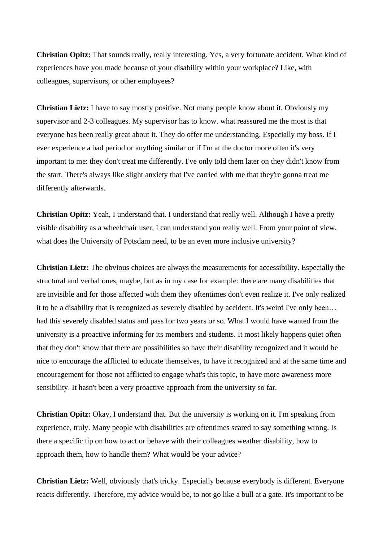**Christian Opitz:** That sounds really, really interesting. Yes, a very fortunate accident. What kind of experiences have you made because of your disability within your workplace? Like, with colleagues, supervisors, or other employees?

**Christian Lietz:** I have to say mostly positive. Not many people know about it. Obviously my supervisor and 2-3 colleagues. My supervisor has to know. what reassured me the most is that everyone has been really great about it. They do offer me understanding. Especially my boss. If I ever experience a bad period or anything similar or if I'm at the doctor more often it's very important to me: they don't treat me differently. I've only told them later on they didn't know from the start. There's always like slight anxiety that I've carried with me that they're gonna treat me differently afterwards.

**Christian Opitz:** Yeah, I understand that. I understand that really well. Although I have a pretty visible disability as a wheelchair user, I can understand you really well. From your point of view, what does the University of Potsdam need, to be an even more inclusive university?

**Christian Lietz:** The obvious choices are always the measurements for accessibility. Especially the structural and verbal ones, maybe, but as in my case for example: there are many disabilities that are invisible and for those affected with them they oftentimes don't even realize it. I've only realized it to be a disability that is recognized as severely disabled by accident. It's weird I've only been… had this severely disabled status and pass for two years or so. What I would have wanted from the university is a proactive informing for its members and students. It most likely happens quiet often that they don't know that there are possibilities so have their disability recognized and it would be nice to encourage the afflicted to educate themselves, to have it recognized and at the same time and encouragement for those not afflicted to engage what's this topic, to have more awareness more sensibility. It hasn't been a very proactive approach from the university so far.

**Christian Opitz:** Okay, I understand that. But the university is working on it. I'm speaking from experience, truly. Many people with disabilities are oftentimes scared to say something wrong. Is there a specific tip on how to act or behave with their colleagues weather disability, how to approach them, how to handle them? What would be your advice?

**Christian Lietz:** Well, obviously that's tricky. Especially because everybody is different. Everyone reacts differently. Therefore, my advice would be, to not go like a bull at a gate. It's important to be